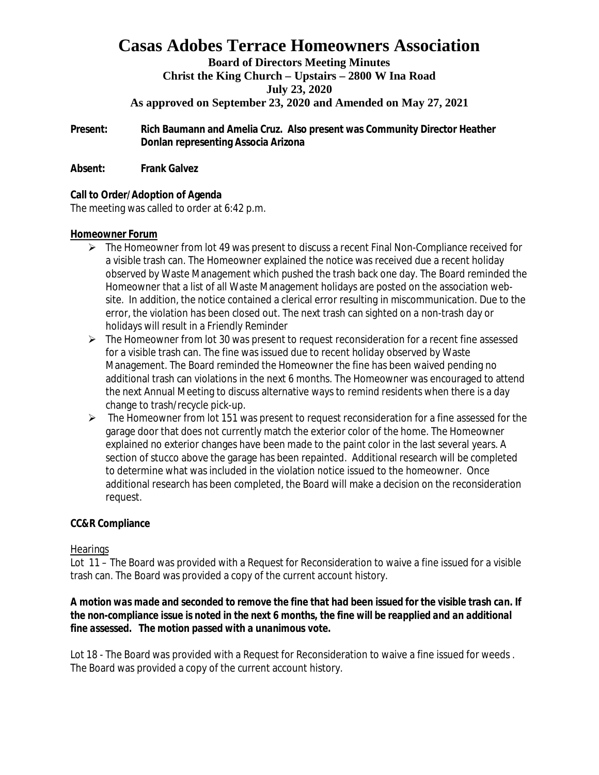# **Casas Adobes Terrace Homeowners Association**

# **Board of Directors Meeting Minutes Christ the King Church – Upstairs – 2800 W Ina Road July 23, 2020**

# **As approved on September 23, 2020 and Amended on May 27, 2021**

**Present: Rich Baumann and Amelia Cruz. Also present was Community Director Heather Donlan representing Associa Arizona**

**Absent: Frank Galvez**

**Call to Order/Adoption of Agenda** The meeting was called to order at 6:42 p.m.

## **Homeowner Forum**

- $\triangleright$  The Homeowner from lot 49 was present to discuss a recent Final Non-Compliance received for a visible trash can. The Homeowner explained the notice was received due a recent holiday observed by Waste Management which pushed the trash back one day. The Board reminded the Homeowner that a list of all Waste Management holidays are posted on the association website. In addition, the notice contained a clerical error resulting in miscommunication. Due to the error, the violation has been closed out. The next trash can sighted on a non-trash day or holidays will result in a Friendly Reminder
- $\triangleright$  The Homeowner from lot 30 was present to request reconsideration for a recent fine assessed for a visible trash can. The fine was issued due to recent holiday observed by Waste Management. The Board reminded the Homeowner the fine has been waived pending no additional trash can violations in the next 6 months. The Homeowner was encouraged to attend the next Annual Meeting to discuss alternative ways to remind residents when there is a day change to trash/recycle pick-up.
- $\triangleright$  The Homeowner from lot 151 was present to request reconsideration for a fine assessed for the garage door that does not currently match the exterior color of the home. The Homeowner explained no exterior changes have been made to the paint color in the last several years. A section of stucco above the garage has been repainted. Additional research will be completed to determine what was included in the violation notice issued to the homeowner. Once additional research has been completed, the Board will make a decision on the reconsideration request.

# **CC&R Compliance**

# **Hearings**

Lot 11 – The Board was provided with a Request for Reconsideration to waive a fine issued for a visible trash can. The Board was provided a copy of the current account history.

*A motion was made and seconded to remove the fine that had been issued for the visible trash can. If the non-compliance issue is noted in the next 6 months, the fine will be reapplied and an additional fine assessed. The motion passed with a unanimous vote.*

Lot 18 - The Board was provided with a Request for Reconsideration to waive a fine issued for weeds . The Board was provided a copy of the current account history.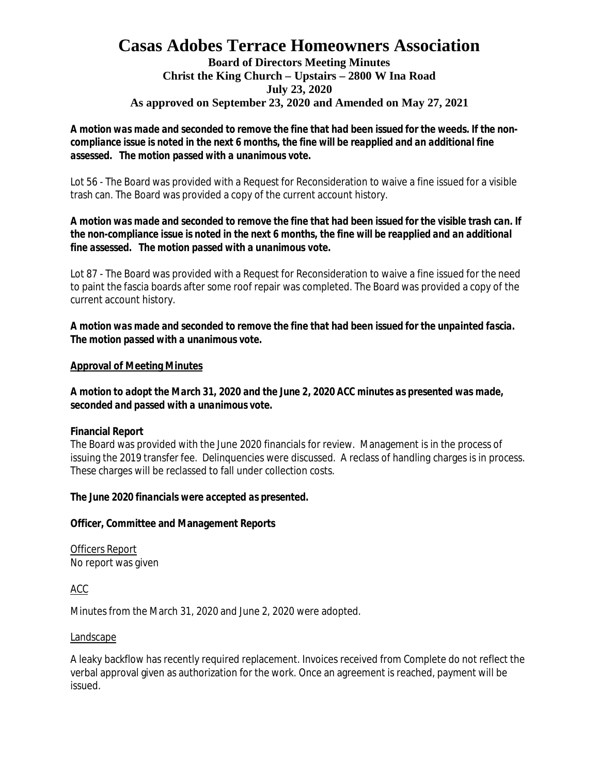# **Casas Adobes Terrace Homeowners Association Board of Directors Meeting Minutes Christ the King Church – Upstairs – 2800 W Ina Road July 23, 2020 As approved on September 23, 2020 and Amended on May 27, 2021**

*A motion was made and seconded to remove the fine that had been issued for the weeds. If the noncompliance issue is noted in the next 6 months, the fine will be reapplied and an additional fine assessed. The motion passed with a unanimous vote.*

Lot 56 - The Board was provided with a Request for Reconsideration to waive a fine issued for a visible trash can. The Board was provided a copy of the current account history.

*A motion was made and seconded to remove the fine that had been issued for the visible trash can. If the non-compliance issue is noted in the next 6 months, the fine will be reapplied and an additional fine assessed. The motion passed with a unanimous vote.*

Lot 87 - The Board was provided with a Request for Reconsideration to waive a fine issued for the need to paint the fascia boards after some roof repair was completed. The Board was provided a copy of the current account history.

*A motion was made and seconded to remove the fine that had been issued for the unpainted fascia. The motion passed with a unanimous vote.*

## **Approval of Meeting Minutes**

*A motion to adopt the March 31, 2020 and the June 2, 2020 ACC minutes as presented was made, seconded and passed with a unanimous vote.*

#### **Financial Report**

The Board was provided with the June 2020 financials for review. Management is in the process of issuing the 2019 transfer fee. Delinquencies were discussed. A reclass of handling charges is in process. These charges will be reclassed to fall under collection costs.

*The June 2020 financials were accepted as presented.*

**Officer, Committee and Management Reports**

Officers Report No report was given

# ACC

Minutes from the March 31, 2020 and June 2, 2020 were adopted.

#### Landscape

A leaky backflow has recently required replacement. Invoices received from Complete do not reflect the verbal approval given as authorization for the work. Once an agreement is reached, payment will be issued.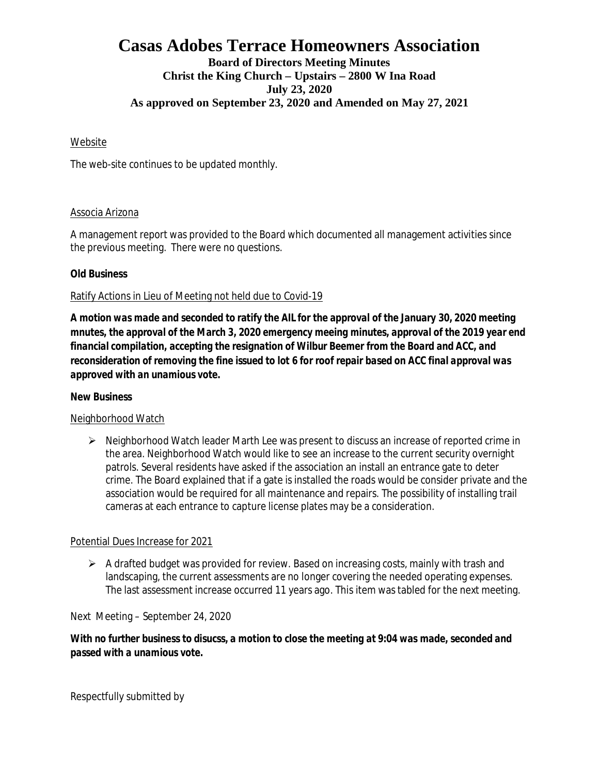# **Casas Adobes Terrace Homeowners Association Board of Directors Meeting Minutes Christ the King Church – Upstairs – 2800 W Ina Road July 23, 2020 As approved on September 23, 2020 and Amended on May 27, 2021**

## Website

The web-site continues to be updated monthly.

#### Associa Arizona

A management report was provided to the Board which documented all management activities since the previous meeting. There were no questions.

## **Old Business**

## Ratify Actions in Lieu of Meeting not held due to Covid-19

*A motion was made and seconded to ratify the AIL for the approval of the January 30, 2020 meeting mnutes, the approval of the March 3, 2020 emergency meeing minutes, approval of the 2019 year end financial compilation, accepting the resignation of Wilbur Beemer from the Board and ACC, and reconsideration of removing the fine issued to lot 6 for roof repair based on ACC final approval was approved with an unamious vote.*

#### **New Business**

# Neighborhood Watch

 $\triangleright$  Neighborhood Watch leader Marth Lee was present to discuss an increase of reported crime in the area. Neighborhood Watch would like to see an increase to the current security overnight patrols. Several residents have asked if the association an install an entrance gate to deter crime. The Board explained that if a gate is installed the roads would be consider private and the association would be required for all maintenance and repairs. The possibility of installing trail cameras at each entrance to capture license plates may be a consideration.

#### Potential Dues Increase for 2021

 $\triangleright$  A drafted budget was provided for review. Based on increasing costs, mainly with trash and landscaping, the current assessments are no longer covering the needed operating expenses. The last assessment increase occurred 11 years ago. This item was tabled for the next meeting.

Next Meeting – September 24, 2020

*With no further business to disucss, a motion to close the meeting at 9:04 was made, seconded and passed with a unamious vote.*

Respectfully submitted by